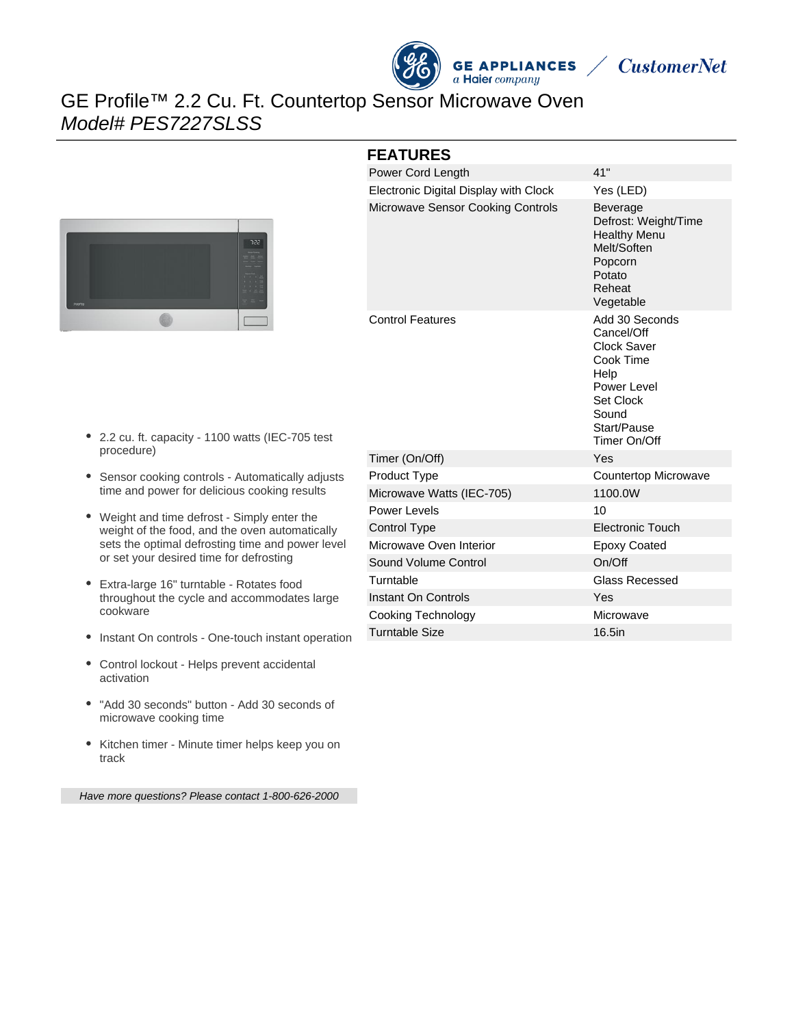

**CustomerNet** 

# GE Profile™ 2.2 Cu. Ft. Countertop Sensor Microwave Oven Model# PES7227SLSS



#### **FEATURES**

| Power Cord Length                     | 41"                                                                                                                                  |
|---------------------------------------|--------------------------------------------------------------------------------------------------------------------------------------|
| Electronic Digital Display with Clock | Yes (LED)                                                                                                                            |
| Microwave Sensor Cooking Controls     | <b>Beverage</b><br>Defrost: Weight/Time<br><b>Healthy Menu</b><br>Melt/Soften<br>Popcorn<br>Potato<br>Reheat<br>Vegetable            |
| <b>Control Features</b>               | Add 30 Seconds<br>Cancel/Off<br>Clock Saver<br>Cook Time<br>Help<br>Power Level<br>Set Clock<br>Sound<br>Start/Pause<br>Timer On/Off |
| Timer (On/Off)                        | Yes                                                                                                                                  |
| Product Type                          | Countertop Microwave                                                                                                                 |
| Microwave Watts (IEC-705)             | 1100.0W                                                                                                                              |
| Power Levels                          | 10                                                                                                                                   |
| Control Type                          | <b>Electronic Touch</b>                                                                                                              |
| Microwave Oven Interior               | <b>Epoxy Coated</b>                                                                                                                  |
| Sound Volume Control                  | On/Off                                                                                                                               |
| Turntable                             | <b>Glass Recessed</b>                                                                                                                |
| Instant On Controls                   | Yes                                                                                                                                  |
| <b>Cooking Technology</b>             | Microwave                                                                                                                            |
| <b>Turntable Size</b>                 | 16.5in                                                                                                                               |

- 2.2 cu. ft. capacity 1100 watts (IEC-705 test procedure)
- Sensor cooking controls Automatically adjusts time and power for delicious cooking results
- Weight and time defrost Simply enter the weight of the food, and the oven automatically sets the optimal defrosting time and power level or set your desired time for defrosting
- Extra-large 16" turntable Rotates food throughout the cycle and accommodates large cookware
- Instant On controls One-touch instant operation
- Control lockout Helps prevent accidental activation
- "Add 30 seconds" button Add 30 seconds of microwave cooking time
- Kitchen timer Minute timer helps keep you on track

Have more questions? Please contact 1-800-626-2000